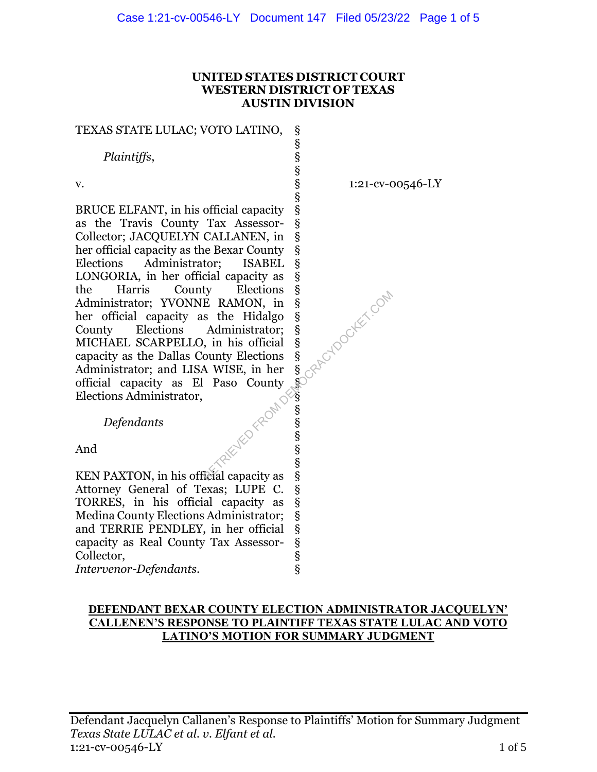#### **UNITED STATES DISTRICT COURT WESTERN DISTRICT OF TEXAS AUSTIN DIVISION**

§ § § § §

#### TEXAS STATE LULAC; VOTO LATINO,

 *Plaintiffs*,

v.

BRUCE ELFANT, in his official capacity as the Travis County Tax Assessor-Collector; JACQUELYN CALLANEN, in her official capacity as the Bexar County Elections Administrator; ISABEL LONGORIA, in her official capacity as § the Harris County Elections § Administrator; YVONNE RAMON, in § her official capacity as the Hidalgo County Elections Administrator; MICHAEL SCARPELLO, in his official § capacity as the Dallas County Elections Administrator; and LISA WISE, in her % official capacity as El Paso County Elections Administrator,<br> *Defendants*<br>
And Elections Administrator, § § § § § § § § § § § § County Elections §<br>
NONNE RAMON, in §<br>
city as the Hidalgo §<br>
ms Administrator; §<br>
FELLO, in his official §<br>
Ilas County Elections<br>
d LISA W<sup>TC</sup><br>
d LISA W<sup>TC</sup>

1:21-cv-00546-LY

 *Defendants*

And

KEN PAXTON, in his official capacity as Attorney General of Texas; LUPE C. TORRES, in his official capacity as Medina County Elections Administrator; and TERRIE PENDLEY, in her official capacity as Real County Tax Assessor-Collector, § § § § § § § §

*Intervenor-Defendants*.

# **DEFENDANT BEXAR COUNTY ELECTION ADMINISTRATOR JACQUELYN' CALLENEN'S RESPONSE TO PLAINTIFF TEXAS STATE LULAC AND VOTO LATINO'S MOTION FOR SUMMARY JUDGMENT**

§ § § § §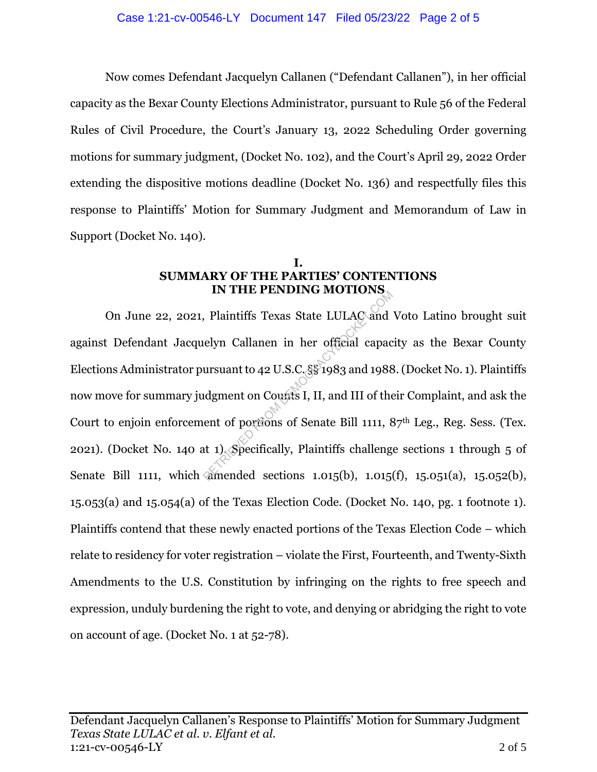Now comes Defendant Jacquelyn Callanen ("Defendant Callanen"), in her official capacity as the Bexar County Elections Administrator, pursuant to Rule 56 of the Federal Rules of Civil Procedure, the Court's January 13, 2022 Scheduling Order governing motions for summary judgment, (Docket No. 102), and the Court's April 29, 2022 Order extending the dispositive motions deadline (Docket No. 136) and respectfully files this response to Plaintiffs' Motion for Summary Judgment and Memorandum of Law in Support (Docket No. 140).

# **I. SUMMARY OF THE PARTIES' CONTENTIONS IN THE PENDING MOTIONS**

On June 22, 2021, Plaintiffs Texas State LULAC and Voto Latino brought suit against Defendant Jacquelyn Callanen in her official capacity as the Bexar County Elections Administrator pursuant to 42 U.S.C. §§ 1983 and 1988. (Docket No. 1). Plaintiffs now move for summary judgment on Counts I, II, and III of their Complaint, and ask the Court to enjoin enforcement of portions of Senate Bill 1111, 87<sup>th</sup> Leg., Reg. Sess. (Tex. 2021). (Docket No. 140 at 1). Specifically, Plaintiffs challenge sections 1 through 5 of Senate Bill 1111, which amended sections 1.015(b), 1.015(f), 15.051(a), 15.052(b), 15.053(a) and 15.054(a) of the Texas Election Code. (Docket No. 140, pg. 1 footnote 1). Plaintiffs contend that these newly enacted portions of the Texas Election Code – which relate to residency for voter registration – violate the First, Fourteenth, and Twenty-Sixth Amendments to the U.S. Constitution by infringing on the rights to free speech and expression, unduly burdening the right to vote, and denying or abridging the right to vote on account of age. (Docket No. 1 at 52-78). RETRIET ENDING MOTIONS<br>
RETRIET ENDING MOTIONS<br>
Lelyn Callanen in her official capac<br>
ursuant to 42 U.S.C.  $\S$  1983 and 1988<br>
Idgment on Counts I, II, and III of the<br>
ent of portions of Senate Bill 1111, 8<br>
at 1). Specific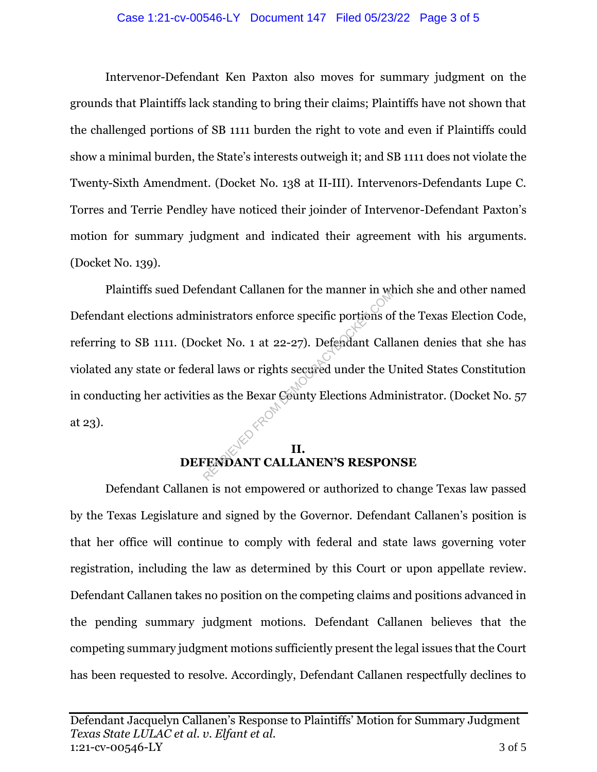#### Case 1:21-cv-00546-LY Document 147 Filed 05/23/22 Page 3 of 5

Intervenor-Defendant Ken Paxton also moves for summary judgment on the grounds that Plaintiffs lack standing to bring their claims; Plaintiffs have not shown that the challenged portions of SB 1111 burden the right to vote and even if Plaintiffs could show a minimal burden, the State's interests outweigh it; and SB 1111 does not violate the Twenty-Sixth Amendment. (Docket No. 138 at II-III). Intervenors-Defendants Lupe C. Torres and Terrie Pendley have noticed their joinder of Intervenor-Defendant Paxton's motion for summary judgment and indicated their agreement with his arguments. (Docket No. 139).

Plaintiffs sued Defendant Callanen for the manner in which she and other named Defendant elections administrators enforce specific portions of the Texas Election Code, referring to SB 1111. (Docket No. 1 at 22-27). Defendant Callanen denies that she has violated any state or federal laws or rights secured under the United States Constitution in conducting her activities as the Bexar County Elections Administrator. (Docket No. 57 at 23). mistrators enforce specific portions of<br>cket No. 1 at 22-27). Defendant Call<br>ral laws or rights secured under the U<br>ss as the Bexar County Elections Adm<br>ENDANT CALLANEN'S RESPOI

# **II. DEFENDANT CALLANEN'S RESPONSE**

Defendant Callanen is not empowered or authorized to change Texas law passed by the Texas Legislature and signed by the Governor. Defendant Callanen's position is that her office will continue to comply with federal and state laws governing voter registration, including the law as determined by this Court or upon appellate review. Defendant Callanen takes no position on the competing claims and positions advanced in the pending summary judgment motions. Defendant Callanen believes that the competing summary judgment motions sufficiently present the legal issues that the Court has been requested to resolve. Accordingly, Defendant Callanen respectfully declines to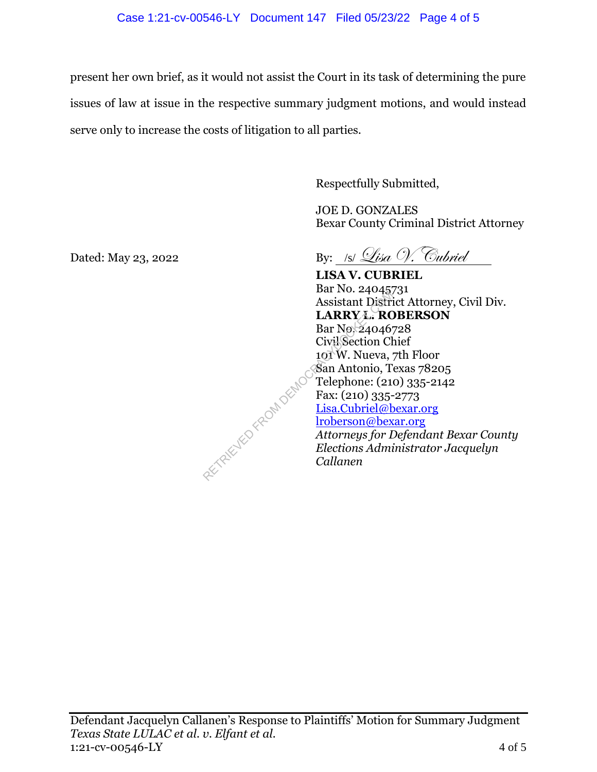present her own brief, as it would not assist the Court in its task of determining the pure issues of law at issue in the respective summary judgment motions, and would instead serve only to increase the costs of litigation to all parties.

Respectfully Submitted,

JOE D. GONZALES Bexar County Criminal District Attorney

Dated: May 23, 2022 By: /s/  $\mathcal{L}$ isa V. Cubriel

**LISA V. CUBRIEL** Bar No. 24045731 Assistant District Attorney, Civil Div. **LARRY L. ROBERSON** Bar No. 24046728 Civil Section Chief 101 W. Nueva, 7th Floor San Antonio, Texas 78205 Telephone: (210) 335-2142 Fax: (210) 335-2773 Lisa.Cubriel@bexar.org lroberson@bexar.org *Attorneys for Defendant Bexar County Elections Administrator Jacquelyn* 

*Callanen*

Defendant Jacquelyn Callanen's Response to Plaintiffs' Motion for Summary Judgment *Texas State LULAC et al. v. Elfant et al.* 1:21-cv-00546-LY 4 of 5

RETRIEVED FROM DEMOC